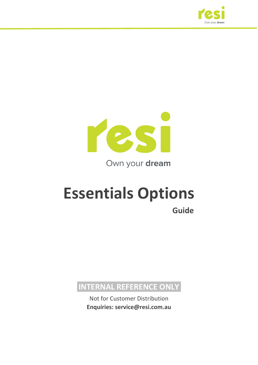



Own your dream

# **Essentials Options Guide**

**INTERNAL REFERENCE ONLY**

Not for Customer Distribution **Enquiries: service@resi.com.au**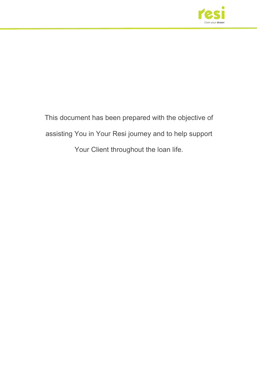

This document has been prepared with the objective of assisting You in Your Resi journey and to help support Your Client throughout the loan life.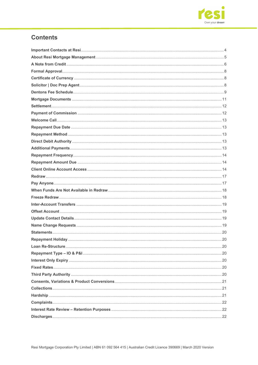

### **Contents**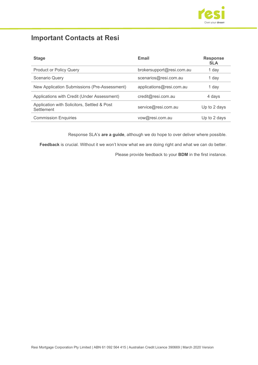

# <span id="page-3-0"></span>**Important Contacts at Resi**

| <b>Stage</b>                                              | Email                     | <b>Response</b><br><b>SLA</b> |
|-----------------------------------------------------------|---------------------------|-------------------------------|
| <b>Product or Policy Query</b>                            | brokersupport@resi.com.au | 1 day                         |
| <b>Scenario Query</b>                                     | scenarios@resi.com.au     | 1 day                         |
| New Application Submissions (Pre-Assessment)              | applications@resi.com.au  | 1 day                         |
| Applications with Credit (Under Assessment)               | credit@resi.com.au        | 4 days                        |
| Application with Solicitors, Settled & Post<br>Settlement | service@resi.com.au       | Up to 2 days                  |
| <b>Commission Enquiries</b>                               | vow@resi.com.au           | Up to 2 days                  |

Response SLA's **are a guide**, although we do hope to over deliver where possible.

**Feedback** is crucial. Without it we won't know what we are doing right and what we can do better.

Please provide feedback to your **BDM** in the first instance.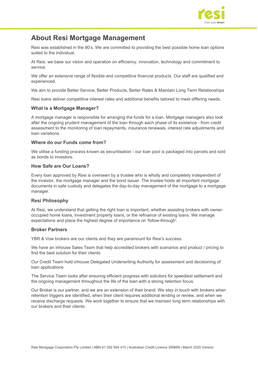

### <span id="page-4-0"></span>**About Resi Mortgage Management**

Resi was established in the 90's. We are committed to providing the best possible home loan options suited to the individual.

At Resi, we base our vision and operation on efficiency, innovation, technology and commitment to service.

We offer an extensive range of flexible and competitive financial products. Our staff are qualified and experienced.

We aim to provide Better Service, Better Products, Better Rates & Maintain Long Term Relationships

Resi loans deliver competitive interest rates and additional benefits tailored to meet differing needs.

#### **What is a Mortgage Manager?**

A mortgage manager is responsible for arranging the funds for a loan. Mortgage managers also look after the ongoing prudent management of the loan through each phase of its existence - from credit assessment to the monitoring of loan repayments, insurance renewals, interest rate adjustments and loan variations.

#### **Where do our Funds come from?**

We utilise a funding process known as securitisation - our loan pool is packaged into parcels and sold as bonds to investors.

#### **How Safe are Our Loans?**

Every loan approved by Resi is overseen by a trustee who is wholly and completely independent of the investor, the mortgage manager and the bond issuer. The trustee holds all important mortgage documents in safe custody and delegates the day-to-day management of the mortgage to a mortgage manager.

#### **Resi Philosophy**

At Resi, we understand that getting the right loan is important, whether assisting brokers with owneroccupied home loans, investment property loans, or the refinance of existing loans. We manage expectations and place the highest degree of importance on 'follow-through'.

#### **Broker Partners**

YBR & Vow brokers are our clients and they are paramount for Resi's success.

We have an inhouse Sales Team that help accredited brokers with scenarios and product / pricing to find the best solution for their clients.

Our Credit Team hold inhouse Delegated Underwriting Authority for assessment and decisioning of loan applications.

The Service Team looks after ensuring efficient progress with solicitors for speediest settlement and the ongoing management throughout the life of the loan with a strong retention focus.

Our Broker is our partner, and we are an extension of their brand. We stay in touch with brokers when retention triggers are identified, when their client requires additional lending or review, and when we receive discharge requests. We work together to ensure that we maintain long term relationships with our brokers and their clients.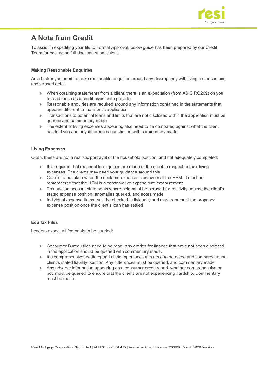

# <span id="page-5-0"></span>**A Note from Credit**

To assist in expediting your file to Formal Approval, below guide has been prepared by our Credit Team for packaging full doc loan submissions.

#### **Making Reasonable Enquiries**

As a broker you need to make reasonable enquiries around any discrepancy with living expenses and undisclosed debt:

- ♦ When obtaining statements from a client, there is an expectation (from ASIC RG209) on you to read these as a credit assistance provider
- ♦ Reasonable enquiries are required around any information contained in the statements that appears different to the client's application
- ♦ Transactions to potential loans and limits that are not disclosed within the application must be queried and commentary made
- ♦ The extent of living expenses appearing also need to be compared against what the client has told you and any differences questioned with commentary made.

#### **Living Expenses**

Often, these are not a realistic portrayal of the household position, and not adequately completed:

- ♦ It is required that reasonable enquiries are made of the client in respect to their living expenses. The clients may need your guidance around this
- ♦ Care is to be taken when the declared expense is below or at the HEM. It must be remembered that the HEM is a conservative expenditure measurement
- ♦ Transaction account statements where held must be perused for relativity against the client's stated expense position, anomalies queried, and notes made
- ♦ Individual expense items must be checked individually and must represent the proposed expense position once the client's loan has settled

#### **Equifax Files**

Lenders expect all footprints to be queried:

- ♦ Consumer Bureau files need to be read. Any entries for finance that have not been disclosed in the application should be queried with commentary made.
- ♦ If a comprehensive credit report is held, open accounts need to be noted and compared to the client's stated liability position. Any differences must be queried, and commentary made
- ♦ Any adverse information appearing on a consumer credit report, whether comprehensive or not, must be queried to ensure that the clients are not experiencing hardship. Commentary must be made.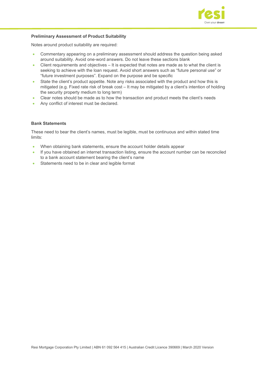

#### **Preliminary Assessment of Product Suitability**

Notes around product suitability are required:

- Commentary appearing on a preliminary assessment should address the question being asked around suitability. Avoid one-word answers. Do not leave these sections blank
- Client requirements and objectives It is expected that notes are made as to what the client is seeking to achieve with the loan request. Avoid short answers such as "future personal use" or "future investment purposes". Expand on the purpose and be specific
- State the client's product appetite. Note any risks associated with the product and how this is mitigated (e.g. Fixed rate risk of break cost – It may be mitigated by a client's intention of holding the security property medium to long term)
- Clear notes should be made as to how the transaction and product meets the client's needs
- Any conflict of interest must be declared.

#### **Bank Statements**

These need to bear the client's names, must be legible, must be continuous and within stated time limits:

- When obtaining bank statements, ensure the account holder details appear
- If you have obtained an internet transaction listing, ensure the account number can be reconciled to a bank account statement bearing the client's name
- Statements need to be in clear and legible format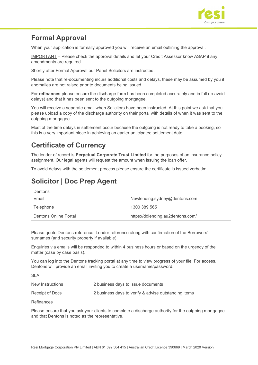

# <span id="page-7-0"></span>**Formal Approval**

When your application is formally approved you will receive an email outlining the approval.

IMPORTANT – Please check the approval details and let your Credit Assessor know ASAP if any amendments are required.

Shortly after Formal Approval our Panel Solicitors are instructed.

Please note that re-documenting incurs additional costs and delays, these may be assumed by you if anomalies are not raised prior to documents being issued.

For **refinances** please ensure the discharge form has been completed accurately and in full (to avoid delays) and that it has been sent to the outgoing mortgagee.

You will receive a separate email when Solicitors have been instructed. At this point we ask that you please upload a copy of the discharge authority on their portal with details of when it was sent to the outgoing mortgagee.

Most of the time delays in settlement occur because the outgoing is not ready to take a booking, so this is a very important piece in achieving an earlier anticipated settlement date.

### <span id="page-7-1"></span>**Certificate of Currency**

The lender of record is **Perpetual Corporate Trust Limited** for the purposes of an insurance policy assignment. Our legal agents will request the amount when issuing the loan offer.

To avoid delays with the settlement process please ensure the certificate is issued verbatim.

# <span id="page-7-2"></span>**Solicitor | Doc Prep Agent**

Dentons

| Email                 | Newlending.sydney@dentons.com     |
|-----------------------|-----------------------------------|
| Telephone             | 1300 389 565                      |
| Dentons Online Portal | https://ddlending.au2dentons.com/ |

Please quote Dentons reference, Lender reference along with confirmation of the Borrowers' surnames (and security property if available).

Enquiries via emails will be responded to within 4 business hours or based on the urgency of the matter (case by case basis).

You can log into the Dentons tracking portal at any time to view progress of your file. For access, Dentons will provide an email inviting you to create a username/password.

SLA

| New Instructions | 2 business days to issue documents                   |
|------------------|------------------------------------------------------|
| Receipt of Docs  | 2 business days to verify & advise outstanding items |
|                  |                                                      |

Refinances

Please ensure that you ask your clients to complete a discharge authority for the outgoing mortgagee and that Dentons is noted as the representative.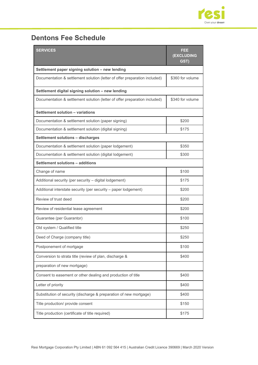

# <span id="page-8-0"></span>**Dentons Fee Schedule**

| <b>SERVICES</b>                                                            | FEE<br>(EXCLUDING<br>GST) |  |  |  |  |
|----------------------------------------------------------------------------|---------------------------|--|--|--|--|
| Settlement paper signing solution - new lending                            |                           |  |  |  |  |
| Documentation & settlement solution (letter of offer preparation included) | \$360 for volume          |  |  |  |  |
| Settlement digital signing solution - new lending                          |                           |  |  |  |  |
| Documentation & settlement solution (letter of offer preparation included) | \$340 for volume          |  |  |  |  |
| Settlement solution - variations                                           |                           |  |  |  |  |
| Documentation & settlement solution (paper signing)                        | \$200                     |  |  |  |  |
| Documentation & settlement solution (digital signing)                      | \$175                     |  |  |  |  |
| Settlement solutions - discharges                                          |                           |  |  |  |  |
| Documentation & settlement solution (paper lodgement)                      | \$350                     |  |  |  |  |
| Documentation & settlement solution (digital lodgement)                    | \$300                     |  |  |  |  |
| Settlement solutions - additions                                           |                           |  |  |  |  |
| Change of name                                                             | \$100                     |  |  |  |  |
| Additional security (per security - digital lodgement)                     | \$175                     |  |  |  |  |
| Additional interstate security (per security - paper lodgement)            | \$200                     |  |  |  |  |
| Review of trust deed                                                       | \$200                     |  |  |  |  |
| Review of residential lease agreement                                      | \$200                     |  |  |  |  |
| Guarantee (per Guarantor)                                                  | \$100                     |  |  |  |  |
| Old system / Qualified title                                               | \$250                     |  |  |  |  |
| Deed of Charge (company title)                                             | \$250                     |  |  |  |  |
| Postponement of mortgage                                                   | \$100                     |  |  |  |  |
| Conversion to strata title (review of plan, discharge &                    | \$400                     |  |  |  |  |
| preparation of new mortgage)                                               |                           |  |  |  |  |
| Consent to easement or other dealing and production of title               | \$400                     |  |  |  |  |
| Letter of priority                                                         | \$400                     |  |  |  |  |
| Substitution of security (discharge & preparation of new mortgage)         | \$400                     |  |  |  |  |
| Title production/ provide consent                                          | \$150                     |  |  |  |  |
| Title production (certificate of title required)                           | \$175                     |  |  |  |  |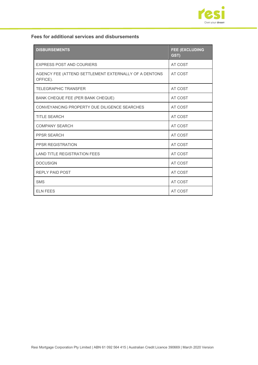

#### **Fees for additional services and disbursements**

| <b>DISBURSEMENTS</b>                                              | <b>FEE (EXCLUDING</b><br>GST) |
|-------------------------------------------------------------------|-------------------------------|
| <b>EXPRESS POST AND COURIERS</b>                                  | AT COST                       |
| AGENCY FEE (ATTEND SETTLEMENT EXTERNALLY OF A DENTONS<br>OFFICE). | AT COST                       |
| <b>TELEGRAPHIC TRANSFER</b>                                       | AT COST                       |
| BANK CHEQUE FEE (PER BANK CHEQUE)                                 | AT COST                       |
| CONVEYANCING PROPERTY DUE DILIGENCE SEARCHES                      | AT COST                       |
| <b>TITLE SEARCH</b>                                               | AT COST                       |
| <b>COMPANY SEARCH</b>                                             | AT COST                       |
| <b>PPSR SEARCH</b>                                                | AT COST                       |
| <b>PPSR REGISTRATION</b>                                          | AT COST                       |
| <b>LAND TITLE REGISTRATION FEES</b>                               | AT COST                       |
| <b>DOCUSIGN</b>                                                   | AT COST                       |
| <b>REPLY PAID POST</b>                                            | AT COST                       |
| <b>SMS</b>                                                        | AT COST                       |
| <b>ELN FEES</b>                                                   | AT COST                       |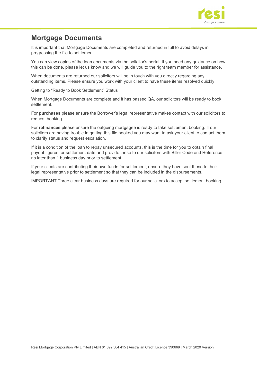

### <span id="page-10-0"></span>**Mortgage Documents**

It is important that Mortgage Documents are completed and returned in full to avoid delays in progressing the file to settlement.

You can view copies of the loan documents via the solicitor's portal. If you need any guidance on how this can be done, please let us know and we will guide you to the right team member for assistance.

When documents are returned our solicitors will be in touch with you directly regarding any outstanding items. Please ensure you work with your client to have these items resolved quickly.

Getting to "Ready to Book Settlement" Status

When Mortgage Documents are complete and it has passed QA, our solicitors will be ready to book settlement.

For **purchases** please ensure the Borrower's legal representative makes contact with our solicitors to request booking.

For **refinances** please ensure the outgoing mortgagee is ready to take settlement booking. If our solicitors are having trouble in getting this file booked you may want to ask your client to contact them to clarify status and request escalation.

If it is a condition of the loan to repay unsecured accounts, this is the time for you to obtain final payout figures for settlement date and provide these to our solicitors with Biller Code and Reference no later than 1 business day prior to settlement.

If your clients are contributing their own funds for settlement, ensure they have sent these to their legal representative prior to settlement so that they can be included in the disbursements.

IMPORTANT Three clear business days are required for our solicitors to accept settlement booking.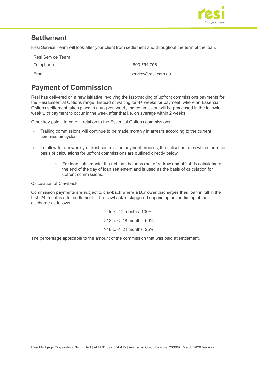

### <span id="page-11-0"></span>**Settlement**

Resi Service Team will look after your client from settlement and throughout the term of the loan.

| Resi Service Team |                     |
|-------------------|---------------------|
| Telephone         | 1800 754 758        |
| Email             | service@resi.com.au |

# <span id="page-11-1"></span>**Payment of Commission**

Resi has delivered on a new initiative involving the fast-tracking of upfront commissions payments for the Resi Essential Options range. Instead of waiting for 4+ weeks for payment, where an Essential Options settlement takes place in any given week, the commission will be processed in the following week with payment to occur in the week after that i.e. on average within 2 weeks.

Other key points to note in relation to the Essential Options commissions:

- Trailing commissions will continue to be made monthly in arrears according to the current commission cycles.
- To allow for our weekly upfront commission payment process, the utilisation rules which form the basis of calculations for upfront commissions are outlined directly below:
	- For loan settlements, the net loan balance (net of redraw and offset) is calculated at the end of the day of loan settlement and is used as the basis of calculation for upfront commissions.

Calculation of Clawback

Commission payments are subject to clawback where a Borrower discharges their loan in full in the first [24] months after settlement. The clawback is staggered depending on the timing of the discharge as follows:

> 0 to <=12 months: 100%  $>12$  to  $\leq 18$  months: 50% >18 to <=24 months: 25%

The percentage applicable to the amount of the commission that was paid at settlement.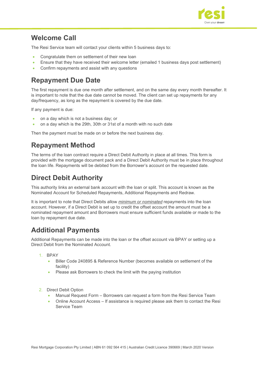

### <span id="page-12-0"></span>**Welcome Call**

The Resi Service team will contact your clients within 5 business days to:

- Congratulate them on settlement of their new loan
- Ensure that they have received their welcome letter (emailed 1 business days post settlement)
- Confirm repayments and assist with any questions

# <span id="page-12-1"></span>**Repayment Due Date**

The first repayment is due one month after settlement, and on the same day every month thereafter. It is important to note that the due date cannot be moved. The client can set up repayments for any day/frequency, as long as the repayment is covered by the due date.

If any payment is due:

- on a day which is not a business day; or
- on a day which is the 29th, 30th or 31st of a month with no such date

Then the payment must be made on or before the next business day.

# <span id="page-12-2"></span>**Repayment Method**

The terms of the loan contract require a Direct Debit Authority in place at all times. This form is provided with the mortgage document pack and a Direct Debit Authority must be in place throughout the loan life. Repayments will be debited from the Borrower's account on the requested date.

# <span id="page-12-3"></span>**Direct Debit Authority**

This authority links an external bank account with the loan or split. This account is known as the Nominated Account for Scheduled Repayments, Additional Repayments and Redraw.

It is important to note that Direct Debits allow *minimum or nominated* repayments into the loan account. However, if a Direct Debit is set up to credit the offset account the amount must be a nominated repayment amount and Borrowers must ensure sufficient funds available or made to the loan by repayment due date.

# <span id="page-12-4"></span>**Additional Payments**

Additional Repayments can be made into the loan or the offset account via BPAY or setting up a Direct Debit from the Nominated Account.

- 1. BPAY
	- Biller Code 240895 & Reference Number (becomes available on settlement of the facility)
	- Please ask Borrowers to check the limit with the paying institution
- 2. Direct Debit Option
	- Manual Request Form Borrowers can request a form from the Resi Service Team
	- Online Account Access If assistance is required please ask them to contact the Resi Service Team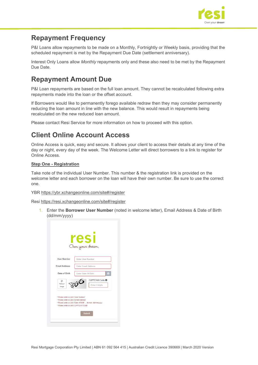

### <span id="page-13-0"></span>**Repayment Frequency**

P&I Loans allow repayments to be made on a Monthly, Fortnightly or Weekly basis, providing that the scheduled repayment is met by the Repayment Due Date (settlement anniversary).

Interest Only Loans allow *Monthly* repayments only and these also need to be met by the Repayment Due Date.

# <span id="page-13-1"></span>**Repayment Amount Due**

P&I Loan repayments are based on the full loan amount. They cannot be recalculated following extra repayments made into the loan or the offset account.

If Borrowers would like to permanently forego available redraw then they may consider permanently reducing the loan amount in line with the new balance. This would result in repayments being recalculated on the new reduced loan amount.

Please contact Resi Service for more information on how to proceed with this option.

# <span id="page-13-2"></span>**Client Online Account Access**

Online Access is quick, easy and secure. It allows your client to access their details at any time of the day or night, every day of the week. The Welcome Letter will direct borrowers to a link to register for Online Access.

#### **Step One - Registration**

Take note of the individual User Number. This number & the registration link is provided on the welcome letter and each borrower on the loan will have their own number. Be sure to use the correct one.

YBR<https://ybr.xchangeonline.com/site#/register>

Resi <https://resi.xchangeonline.com/site#/register>

1. Enter the **Borrower User Number** (noted in welcome letter), Email Address & Date of Birth (dd/mm/yyyy)

|                                        | esi                                                        |
|----------------------------------------|------------------------------------------------------------|
|                                        | Ours your dream.                                           |
| <b>User Number</b>                     | <b>Enter User Number</b>                                   |
| <b>Email Address</b>                   | <b>Enter Email Address</b>                                 |
| Date of Birth                          | Enter Date Of Birth<br>鹽                                   |
| G<br>Refresh<br>Image                  | CAPTCHA Code O<br>Enter 4 digits                           |
| * Please enter a valid 'User Number'   |                                                            |
| * Please enter a valid 'Email Address' | * Please enter a valid 'Date of Birth'  format: dd/mm/vvvv |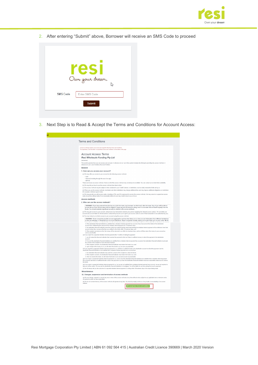

2. After entering "Submit" above, Borrower will receive an SMS Code to proceed



si -

3. Next Step is to Read & Accept the Terms and Conditions for Account Access:

| <b>Terms and Conditions</b>                                                                                                                                                                                                                                                                                                                                                 |
|-----------------------------------------------------------------------------------------------------------------------------------------------------------------------------------------------------------------------------------------------------------------------------------------------------------------------------------------------------------------------------|
| Access to xChange requires you to read and accept the following Terms and Conditions<br>To accept these, click the button "I accept these Terms and Conditions" at the bottom of the page.                                                                                                                                                                                  |
| <b>Account Access Terms</b>                                                                                                                                                                                                                                                                                                                                                 |
| <b>Resi Wholesale Funding Pty Ltd</b>                                                                                                                                                                                                                                                                                                                                       |
| (www.fusclour)                                                                                                                                                                                                                                                                                                                                                              |
| This section governs how you can access your account. A reference to we / us in this section includes the third party providing the access methods. A<br>reference to you / your includes all account holders                                                                                                                                                               |
| General                                                                                                                                                                                                                                                                                                                                                                     |
| 1. How can you access your account?                                                                                                                                                                                                                                                                                                                                         |
| (a) We may offer you access to your account by the following access methods:                                                                                                                                                                                                                                                                                                |
| $-$ card                                                                                                                                                                                                                                                                                                                                                                    |
| • internet (including through the use of an app)<br>$-$ RPAY®                                                                                                                                                                                                                                                                                                               |
| These are known as access methods. Some or all of the access methods may not always be available. You can contact us to check their availability.                                                                                                                                                                                                                           |
| (b) We may tell you how to use the access methods from time to time.                                                                                                                                                                                                                                                                                                        |
| (c) The access methods may be subject to fees contained in your Credit Contract, or restrictions, such as daily transaction limits set by us.                                                                                                                                                                                                                               |
| (d) When you use the access methods, merchants and other institutions may charge additional fees and may impose additional obligations or restrictions<br>(for example, minimum spend rules).                                                                                                                                                                               |
| (e) We may provide you with access codes, including a PIN, user ID or password to access the access methods. We may cancel or suspend an access<br>code at any time without notice if we reasonably believe its use may result in loss to you or to us.                                                                                                                     |
| <b>Access methods</b>                                                                                                                                                                                                                                                                                                                                                       |
| 2. Who can use the access methods?                                                                                                                                                                                                                                                                                                                                          |
| . WARNING: If you have entered into this loan as a joint borrower, any borrower can bind each other borrower. Any of you will be able to<br>access the account. All borrowers will be obliged to repay any and all amounts owing, even if a borrower did not benefit equally from the<br>funds. You should maintain significant security in relation to the access methods. |
| (a) We may give access to your account, and process any transactions made by any person supplying the relevant access code(s). We can debit your<br>account and you are liable for all transactions conducted by anyone you've given your access codes to (even if that transaction is not authorised by you).                                                              |
| (b) You may instruct us to block access to your account using the access methods.                                                                                                                                                                                                                                                                                           |
| . WARNING: Some companies provide account aggregation services that allow you to view account information from different institutions<br>on the one webpage, or download your account statements. These companies usually require you to give them your access codes. We do                                                                                                 |
| 4. If the destination financial institution is satisfied that a mistaken internet payment has occurred, they must prevent the holder of the destination                                                                                                                                                                                                                     |
| account from withdrawing the amount of the mistaken internet payment for 10 business days;<br>5 the destination financial institution must then notify the recipient that the funds representing the mistaken internet payment will be withdrawn from their                                                                                                                 |
| account unless they can prove that they are entitled to the funds within 10 business days; and                                                                                                                                                                                                                                                                              |
| 6. If the recipient cannot prove this, the money will be returned to us within two business days, and we will then return the money to your account as<br>soon as practicable                                                                                                                                                                                               |
| (e) If you report the suspected mistaken internet payment after 7 months of making the payment:                                                                                                                                                                                                                                                                             |
| 1. we will contact the financial institution that received the payment to find out if there is sufficient money to refund the payment in the destination<br>account                                                                                                                                                                                                         |
| 2. If we and the destination financial institution are satisfied that a mistaken internet payment has occurred, the destination financial institution must seek                                                                                                                                                                                                             |
| the consent of the recipient to have the funds returned.<br>3. If the recipient consents, the destination financial institution must return the funds to us; and                                                                                                                                                                                                            |
| 4. upon receipt of the money to us, we will return the funds to you as soon as practicable.                                                                                                                                                                                                                                                                                 |
| (f) If you report the suspected mistaken internet payment to us, and there is sufficient funds in the destination account to refund the payment, but the<br>destination financial institution is not satisfied that a mistaken internet payment has occurred then                                                                                                           |
| 1. the destination financial institution may seek the consent of the recipient to return the funds;                                                                                                                                                                                                                                                                         |
| 2. if the recipient consents, the destination financial institution must return the funds to us; and                                                                                                                                                                                                                                                                        |
| 3. when we receive the funds, we will return the funds to your account as soon as practicable<br>(g) If you report a suspected mistaken internet payment to us, and we and the destination financial institution are satisfied that a mistaken internet payment                                                                                                             |
| has occurred, but there is insufficient funds to return the payment to you then the destination financial institution must use reasonable endeavours to retrieve<br>the funds                                                                                                                                                                                               |
| (h) If you report a suspected mistaken internet payment to us. but we are not satisfied that a mistaken internet payment has occurred, we are not required to<br>take any further action. We may ask the destination financial institution to investigate. You will be liable for any loss arising from such a payment.                                                     |
| (i) We will always tell you the outcome of a reported mistaken internet payment in writing within 30 business days of the report being made.                                                                                                                                                                                                                                |
| <b>Miscellaneous</b>                                                                                                                                                                                                                                                                                                                                                        |
| 32. Changes, suspension and termination of access methods                                                                                                                                                                                                                                                                                                                   |
| (a) We can change, suspend, or cancel any one or more of the access methods at any time without notice subject to any applicable laws or relevant codes<br>of conduct to which we have subscribed.                                                                                                                                                                          |
| (b) We do not warrant that any of the access methods will operate at any time. You should promptly advise us of any faults or unavailability of an access<br>method                                                                                                                                                                                                         |
|                                                                                                                                                                                                                                                                                                                                                                             |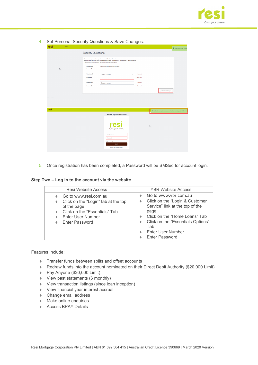

#### 4. Set Personal Security Questions & Save Changes:

| resi | Resi         |                                                                                                                                                        |                                                                                                                     |             |                                                                     | <b>O</b> Thank you, your accep |
|------|--------------|--------------------------------------------------------------------------------------------------------------------------------------------------------|---------------------------------------------------------------------------------------------------------------------|-------------|---------------------------------------------------------------------|--------------------------------|
|      |              | <b>Security Questions</b>                                                                                                                              |                                                                                                                     |             |                                                                     |                                |
|      |              | These are not optional. Please provide answers to the 3 questions shown.<br>Please choose a different security question for each of the entries below. | Of these, 1 entry (marked ") has a fixed/mandatory question while the other 2 entries provide a choice of question. |             |                                                                     |                                |
|      |              | Question 1: *                                                                                                                                          | What is your mother's maiden name?                                                                                  |             |                                                                     |                                |
|      | $\mathbb{Q}$ | Answer 1:                                                                                                                                              |                                                                                                                     | * Required  |                                                                     |                                |
|      |              | Question 2:                                                                                                                                            | Choose a question<br>÷                                                                                              | * Required. |                                                                     |                                |
|      |              | Answer 2:                                                                                                                                              |                                                                                                                     | * Required. |                                                                     |                                |
|      |              | Question 3:                                                                                                                                            | Choose a question<br>÷                                                                                              | * Required. |                                                                     |                                |
|      |              | Answer 3:                                                                                                                                              |                                                                                                                     | * Required. |                                                                     |                                |
|      |              |                                                                                                                                                        |                                                                                                                     |             | E Save Changes                                                      |                                |
|      |              |                                                                                                                                                        |                                                                                                                     |             |                                                                     |                                |
|      |              |                                                                                                                                                        |                                                                                                                     |             |                                                                     |                                |
|      |              |                                                                                                                                                        |                                                                                                                     |             |                                                                     |                                |
|      |              |                                                                                                                                                        |                                                                                                                     |             |                                                                     |                                |
| resi |              |                                                                                                                                                        |                                                                                                                     |             | @ Registration complete, your password has been sent to you by SMS. |                                |
|      |              |                                                                                                                                                        | Please login to continue                                                                                            |             |                                                                     |                                |
|      |              |                                                                                                                                                        |                                                                                                                     |             |                                                                     |                                |
|      |              |                                                                                                                                                        |                                                                                                                     |             |                                                                     |                                |
|      |              |                                                                                                                                                        | resi                                                                                                                |             | $\mathbb{Q}$                                                        |                                |
|      |              |                                                                                                                                                        |                                                                                                                     |             |                                                                     |                                |
|      |              |                                                                                                                                                        | <b>User Number</b>                                                                                                  |             |                                                                     |                                |
|      |              |                                                                                                                                                        | Password                                                                                                            |             |                                                                     |                                |
|      |              |                                                                                                                                                        | Show my password                                                                                                    |             |                                                                     |                                |
|      |              |                                                                                                                                                        | Login                                                                                                               |             |                                                                     |                                |
|      |              |                                                                                                                                                        | Forgot your account details?                                                                                        |             |                                                                     |                                |

5. Once registration has been completed, a Password will be SMSed for account login.

#### **Step Two – Log in to the account via the website**

| <b>Resi Website Access</b>                                                                                        | <b>YBR Website Access</b>                                                                                               |
|-------------------------------------------------------------------------------------------------------------------|-------------------------------------------------------------------------------------------------------------------------|
| Go to www.resi.com.au<br>Click on the "Login" tab at the top<br>٠<br>of the page<br>Click on the "Essentials" Tab | Go to www.ybr.com.au<br>• Click on the "Login & Customer<br>Service" link at the top of the<br>page                     |
| Enter User Number<br><b>Enter Password</b>                                                                        | Click on the "Home Loans" Tab<br>Click on the "Essentials Options"<br>Tab<br>Enter User Number<br><b>Enter Password</b> |

Features Include:

- ♦ Transfer funds between splits and offset accounts
- ♦ Redraw funds into the account nominated on their Direct Debit Authority (\$20,000 Limit)
- ♦ Pay Anyone (\$20,000 Limit)
- ♦ View past statements (6 monthly)
- ♦ View transaction listings (since loan inception)
- ♦ View financial year interest accrual
- ♦ Change email address
- ♦ Make online enquiries
- ♦ Access BPAY Details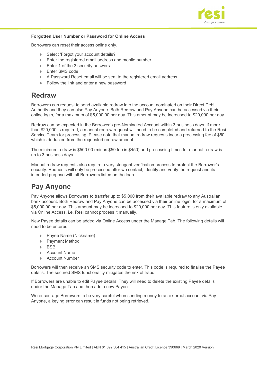

#### **Forgotten User Number or Password for Online Access**

Borrowers can reset their access online only.

- ♦ Select 'Forgot your account details?'
- ♦ Enter the registered email address and mobile number
- ♦ Enter 1 of the 3 security answers
- ♦ Enter SMS code
- ♦ A Password Reset email will be sent to the registered email address
- ♦ Follow the link and enter a new password

### <span id="page-16-0"></span>**Redraw**

Borrowers can request to send available redraw into the account nominated on their Direct Debit Authority and they can also Pay Anyone. Both Redraw and Pay Anyone can be accessed via their online login, for a maximum of \$5,000.00 per day. This amount may be increased to \$20,000 per day.

Redraw can be expected in the Borrower's pre-Nominated Account within 3 business days. If more than \$20,000 is required, a manual redraw request will need to be completed and returned to the Resi Service Team for processing. Please note that manual redraw requests incur a processing fee of \$50 which is deducted from the requested redraw amount.

The minimum redraw is \$500.00 (minus \$50 fee is \$450) and processing times for manual redraw is up to 3 business days.

Manual redraw requests also require a very stringent verification process to protect the Borrower's security. Requests will only be processed after we contact, identify and verify the request and its intended purpose with all Borrowers listed on the loan.

### <span id="page-16-1"></span>**Pay Anyone**

Pay Anyone allows Borrowers to transfer up to \$5,000 from their available redraw to any Australian bank account. Both Redraw and Pay Anyone can be accessed via their online login, for a maximum of \$5,000.00 per day. This amount may be increased to \$20,000 per day. This feature is only available via Online Access, i.e. Resi cannot process it manually.

New Payee details can be added via Online Access under the Manage Tab. The following details will need to be entered:

- Payee Name (Nickname)
- ♦ Payment Method
- ♦ BSB
- ♦ Account Name
- ♦ Account Number

Borrowers will then receive an SMS security code to enter. This code is required to finalise the Payee details. The secured SMS functionality mitigates the risk of fraud.

If Borrowers are unable to edit Payee details. They will need to delete the existing Payee details under the Manage Tab and then add a new Payee.

We encourage Borrowers to be very careful when sending money to an external account via Pay Anyone, a keying error can result in funds not being retrieved.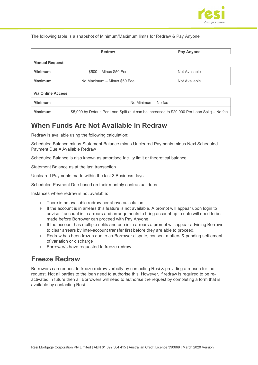

The following table is a snapshot of Minimum/Maximum limits for Redraw & Pay Anyone

#### **Manual Request**

| Minimum | $$500 - Minus $50$ Fee      | Not Available |
|---------|-----------------------------|---------------|
| Maximum | No Maximum - Minus \$50 Fee | Not Available |

#### **Via Online Access**

| Minimum | No Minimum – No fee                                                                          |  |
|---------|----------------------------------------------------------------------------------------------|--|
| Maximum | \$5,000 by Default Per Loan Split (but can be increased to \$20,000 Per Loan Split) – No fee |  |

### <span id="page-17-0"></span>**When Funds Are Not Available in Redraw**

Redraw is available using the following calculation:

Scheduled Balance minus Statement Balance minus Uncleared Payments minus Next Scheduled Payment Due = Available Redraw

Scheduled Balance is also known as amortised facility limit or theoretical balance.

Statement Balance as at the last transaction

Uncleared Payments made within the last 3 Business days

Scheduled Payment Due based on their monthly contractual dues

Instances where redraw is not available:

- ♦ There is no available redraw per above calculation.
- ♦ If the account is in arrears this feature is not available. A prompt will appear upon login to advise if account is in arrears and arrangements to bring account up to date will need to be made before Borrower can proceed with Pay Anyone.
- ♦ If the account has multiple splits and one is in arrears a prompt will appear advising Borrower to clear arrears by inter-account transfer first before they are able to proceed.
- ♦ Redraw has been frozen due to co-Borrower dispute, consent matters & pending settlement of variation or discharge
- Borrower/s have requested to freeze redraw

### <span id="page-17-1"></span>**Freeze Redraw**

Borrowers can request to freeze redraw verbally by contacting Resi & providing a reason for the request. Not all parties to the loan need to authorise this. However, if redraw is required to be reactivated in future then all Borrowers will need to authorise the request by completing a form that is available by contacting Resi.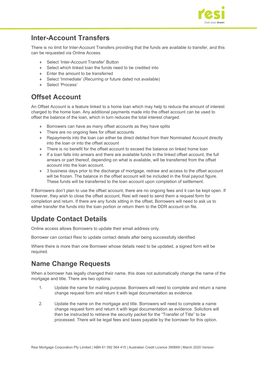

### <span id="page-18-0"></span>**Inter-Account Transfers**

There is no limit for Inter-Account Transfers providing that the funds are available to transfer, and this can be requested via Online Access.

- Select 'Inter-Account Transfer' Button
- ♦ Select which linked loan the funds need to be credited into
- ♦ Enter the amount to be transferred
- ♦ Select 'Immediate' (Recurring or future dated not available)
- ♦ Select 'Process'

# <span id="page-18-1"></span>**Offset Account**

An Offset Account is a feature linked to a home loan which may help to reduce the amount of interest charged to the home loan. Any additional payments made into the offset account can be used to offset the balance of the loan, which in turn reduces the total interest charged.

- Borrowers can have as many offset accounts as they have splits
- ♦ There are no ongoing fees for offset accounts
- ♦ Repayments into the loan can either be direct debited from their Nominated Account directly into the loan or into the offset account
- $\bullet$  There is no benefit for the offset account to exceed the balance on linked home loan
- If a loan falls into arrears and there are available funds in the linked offset account, the full arrears or part thereof, depending on what is available, will be transferred from the offset account into the loan account.
- ♦ 3 business days prior to the discharge of mortgage, redraw and access to the offset account will be frozen. The balance in the offset account will be included in the final payout figure. These funds will be transferred to the loan account upon completion of settlement.

If Borrowers don't plan to use the offset account, there are no ongoing fees and it can be kept open. If however, they wish to close the offset account, Resi will need to send them a request form for completion and return. If there are any funds sitting in the offset, Borrowers will need to ask us to either transfer the funds into the loan portion or return them to the DDR account on file.

# <span id="page-18-2"></span>**Update Contact Details**

Online access allows Borrowers to update their email address only.

Borrower can contact Resi to update contact details after being successfully identified.

Where there is more than one Borrower whose details need to be updated, a signed form will be required.

# <span id="page-18-3"></span>**Name Change Requests**

When a borrower has legally changed their name, this does not automatically change the name of the mortgage and title. There are two options:

- 1. Update the name for mailing purpose. Borrowers will need to complete and return a name change request form and return it with legal documentation as evidence.
- 2. Update the name on the mortgage and title. Borrowers will need to complete a name change request form and return it with legal documentation as evidence. Solicitors will then be instructed to retrieve the security packet for the "Transfer of Title" to be processed. There will be legal fees and taxes payable by the borrower for this option.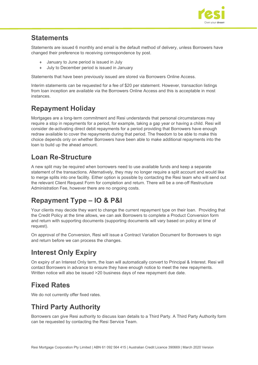

### <span id="page-19-0"></span>**Statements**

Statements are issued 6 monthly and email is the default method of delivery, unless Borrowers have changed their preference to receiving correspondence by post.

- ♦ January to June period is issued in July
- ♦ July to December period is issued in January

Statements that have been previously issued are stored via Borrowers Online Access.

Interim statements can be requested for a fee of \$20 per statement. However, transaction listings from loan inception are available via the Borrowers Online Access and this is acceptable in most instances.

# <span id="page-19-1"></span>**Repayment Holiday**

Mortgages are a long-term commitment and Resi understands that personal circumstances may require a stop in repayments for a period, for example, taking a gap year or having a child. Resi will consider de-activating direct debit repayments for a period providing that Borrowers have enough redraw available to cover the repayments during that period. The freedom to be able to make this choice depends only on whether Borrowers have been able to make additional repayments into the loan to build up the ahead amount.

# <span id="page-19-2"></span>**Loan Re-Structure**

A new split may be required when borrowers need to use available funds and keep a separate statement of the transactions. Alternatively, they may no longer require a split account and would like to merge splits into one facility. Either option is possible by contacting the Resi team who will send out the relevant Client Request Form for completion and return. There will be a one-off Restructure Administration Fee, however there are no ongoing costs.

# <span id="page-19-3"></span>**Repayment Type – IO & P&I**

Your clients may decide they want to change the current repayment type on their loan. Providing that the Credit Policy at the time allows, we can ask Borrowers to complete a Product Conversion form and return with supporting documents (supporting documents will vary based on policy at time of request).

On approval of the Conversion, Resi will issue a Contract Variation Document for Borrowers to sign and return before we can process the changes.

# <span id="page-19-4"></span>**Interest Only Expiry**

On expiry of an Interest Only term, the loan will automatically convert to Principal & Interest. Resi will contact Borrowers in advance to ensure they have enough notice to meet the new repayments. Written notice will also be issued >20 business days of new repayment due date.

# <span id="page-19-5"></span>**Fixed Rates**

We do not currently offer fixed rates.

# <span id="page-19-6"></span>**Third Party Authority**

Borrowers can give Resi authority to discuss loan details to a Third Party. A Third Party Authority form can be requested by contacting the Resi Service Team.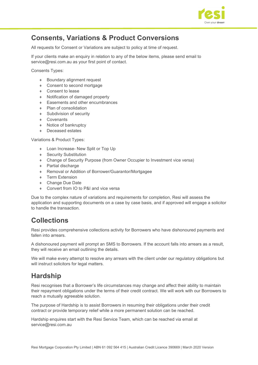

# <span id="page-20-0"></span>**Consents, Variations & Product Conversions**

All requests for Consent or Variations are subject to policy at time of request.

If your clients make an enquiry in relation to any of the below items, please send email to service@resi.com.au as your first point of contact.

Consents Types:

- ♦ Boundary alignment request
- ♦ Consent to second mortgage
- ♦ Consent to lease
- ♦ Notification of damaged property
- ♦ Easements and other encumbrances
- ♦ Plan of consolidation
- ♦ Subdivision of security
- ♦ Covenants
- ♦ Notice of bankruptcy
- ♦ Deceased estates

#### Variations & Product Types:

- ♦ Loan Increase- New Split or Top Up
- ♦ Security Substitution
- ♦ Change of Security Purpose (from Owner Occupier to Investment vice versa)
- ♦ Partial discharge
- ♦ Removal or Addition of Borrower/Guarantor/Mortgagee
- ♦ Term Extension
- ♦ Change Due Date
- Convert from IO to P&I and vice versa

Due to the complex nature of variations and requirements for completion, Resi will assess the application and supporting documents on a case by case basis, and if approved will engage a solicitor to handle the transaction.

### <span id="page-20-1"></span>**Collections**

Resi provides comprehensive collections activity for Borrowers who have dishonoured payments and fallen into arrears.

A dishonoured payment will prompt an SMS to Borrowers. If the account falls into arrears as a result, they will receive an email outlining the details.

We will make every attempt to resolve any arrears with the client under our regulatory obligations but will instruct solicitors for legal matters.

### <span id="page-20-2"></span>**Hardship**

Resi recognises that a Borrower's life circumstances may change and affect their ability to maintain their repayment obligations under the terms of their credit contract. We will work with our Borrowers to reach a mutually agreeable solution.

The purpose of Hardship is to assist Borrowers in resuming their obligations under their credit contract or provide temporary relief while a more permanent solution can be reached.

Hardship enquires start with the Resi Service Team, which can be reached via email at [service@resi.com.au](mailto:service@resi.com.au)